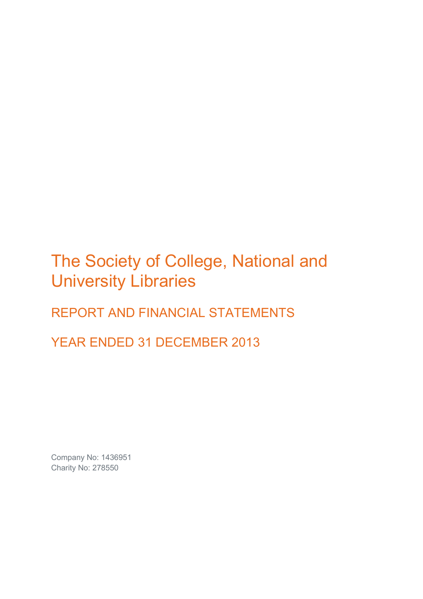# The Society of College, National and University Libraries

## REPORT AND FINANCIAL STATEMENTS

YEAR ENDED 31 DECEMBER 2013

Company No: 1436951 Charity No: 278550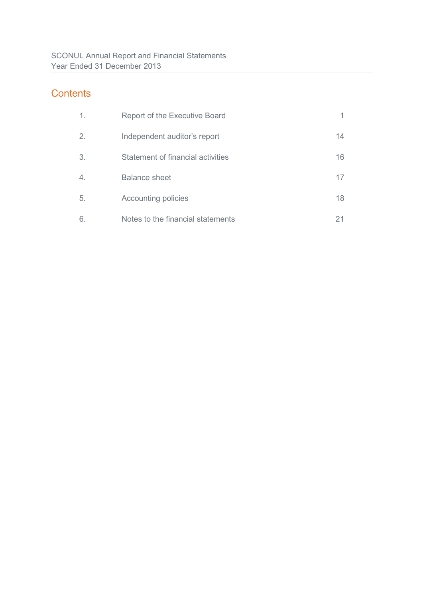### **Contents**

| $\mathbf 1$ .    | <b>Report of the Executive Board</b> |    |
|------------------|--------------------------------------|----|
| 2.               | Independent auditor's report         | 14 |
| 3.               | Statement of financial activities    | 16 |
| $\overline{4}$ . | <b>Balance sheet</b>                 | 17 |
| 5.               | <b>Accounting policies</b>           | 18 |
| 6.               | Notes to the financial statements    | 21 |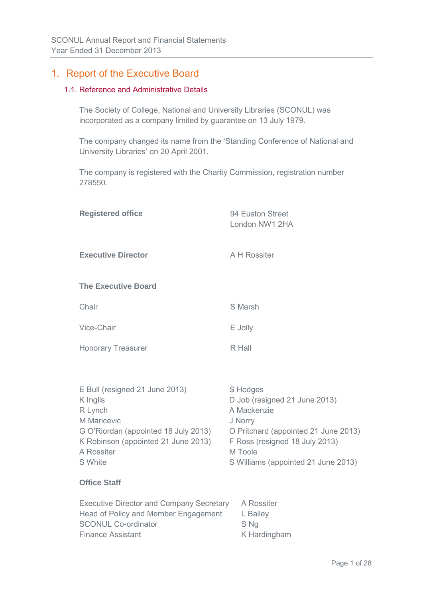### 1. Report of the Executive Board

### 1.1. Reference and Administrative Details

The Society of College, National and University Libraries (SCONUL) was incorporated as a company limited by guarantee on 13 July 1979.

The company changed its name from the 'Standing Conference of National and University Libraries' on 20 April 2001.

The company is registered with the Charity Commission, registration number 278550.

| <b>Registered office</b>                                                                                                                                                     | 94 Euston Street<br>London NW1 2HA                                                                                                                                                              |
|------------------------------------------------------------------------------------------------------------------------------------------------------------------------------|-------------------------------------------------------------------------------------------------------------------------------------------------------------------------------------------------|
| <b>Executive Director</b>                                                                                                                                                    | A H Rossiter                                                                                                                                                                                    |
| <b>The Executive Board</b>                                                                                                                                                   |                                                                                                                                                                                                 |
| Chair                                                                                                                                                                        | S Marsh                                                                                                                                                                                         |
| Vice-Chair                                                                                                                                                                   | E Jolly                                                                                                                                                                                         |
| <b>Honorary Treasurer</b>                                                                                                                                                    | R Hall                                                                                                                                                                                          |
| E Bull (resigned 21 June 2013)<br>K Inglis<br>R Lynch<br>M Maricevic<br>G O'Riordan (appointed 18 July 2013)<br>K Robinson (appointed 21 June 2013)<br>A Rossiter<br>S White | S Hodges<br>D Job (resigned 21 June 2013)<br>A Mackenzie<br>J Norry<br>O Pritchard (appointed 21 June 2013)<br>F Ross (resigned 18 July 2013)<br>M Toole<br>S Williams (appointed 21 June 2013) |
| <b>Office Staff</b>                                                                                                                                                          |                                                                                                                                                                                                 |
| <b>Executive Director and Company Secretary</b><br>Head of Policy and Member Engagement<br><b>SCONUL Co-ordinator</b><br><b>Finance Assistant</b>                            | A Rossiter<br>L Bailey<br>S Ng<br>K Hardingham                                                                                                                                                  |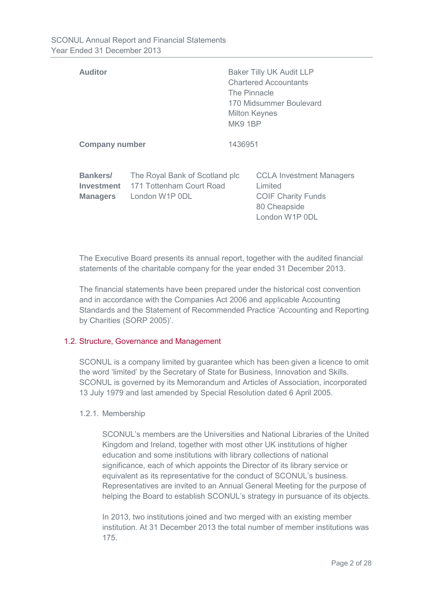| <b>Auditor</b>                            |                                                                              | <b>Baker Tilly UK Audit LLP</b><br><b>Chartered Accountants</b><br>The Pinnacle<br>170 Midsummer Boulevard<br><b>Milton Keynes</b><br><b>MK9 1BP</b> |                                                                                                           |
|-------------------------------------------|------------------------------------------------------------------------------|------------------------------------------------------------------------------------------------------------------------------------------------------|-----------------------------------------------------------------------------------------------------------|
| <b>Company number</b>                     |                                                                              | 1436951                                                                                                                                              |                                                                                                           |
| Bankers/<br>Investment<br><b>Managers</b> | The Royal Bank of Scotland plc<br>171 Tottenham Court Road<br>London W1P 0DL |                                                                                                                                                      | <b>CCLA Investment Managers</b><br>Limited<br><b>COIF Charity Funds</b><br>80 Cheapside<br>London W1P 0DL |

The Executive Board presents its annual report, together with the audited financial statements of the charitable company for the year ended 31 December 2013.

The financial statements have been prepared under the historical cost convention and in accordance with the Companies Act 2006 and applicable Accounting Standards and the Statement of Recommended Practice 'Accounting and Reporting by Charities (SORP 2005)'.

### 1.2. Structure, Governance and Management

SCONUL is a company limited by guarantee which has been given a licence to omit the word 'limited' by the Secretary of State for Business, Innovation and Skills. SCONUL is governed by its Memorandum and Articles of Association, incorporated 13 July 1979 and last amended by Special Resolution dated 6 April 2005.

### 1.2.1. Membership

SCONUL's members are the Universities and National Libraries of the United Kingdom and Ireland, together with most other UK institutions of higher education and some institutions with library collections of national significance, each of which appoints the Director of its library service or equivalent as its representative for the conduct of SCONUL's business. Representatives are invited to an Annual General Meeting for the purpose of helping the Board to establish SCONUL's strategy in pursuance of its objects.

In 2013, two institutions joined and two merged with an existing member institution. At 31 December 2013 the total number of member institutions was 175.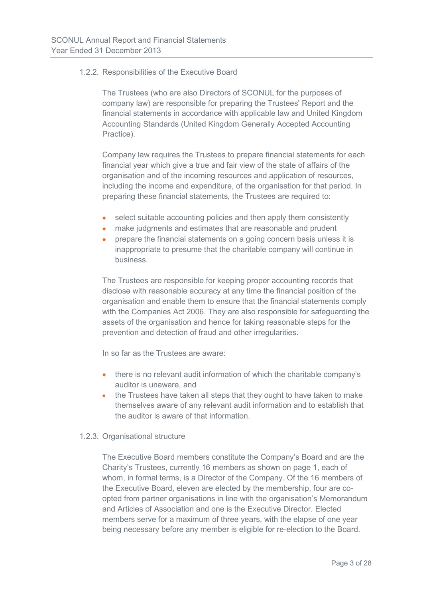### 1.2.2. Responsibilities of the Executive Board

The Trustees (who are also Directors of SCONUL for the purposes of company law) are responsible for preparing the Trustees' Report and the financial statements in accordance with applicable law and United Kingdom Accounting Standards (United Kingdom Generally Accepted Accounting Practice).

Company law requires the Trustees to prepare financial statements for each financial year which give a true and fair view of the state of affairs of the organisation and of the incoming resources and application of resources, including the income and expenditure, of the organisation for that period. In preparing these financial statements, the Trustees are required to:

- select suitable accounting policies and then apply them consistently
- make judgments and estimates that are reasonable and prudent
- prepare the financial statements on a going concern basis unless it is inappropriate to presume that the charitable company will continue in business.

The Trustees are responsible for keeping proper accounting records that disclose with reasonable accuracy at any time the financial position of the organisation and enable them to ensure that the financial statements comply with the Companies Act 2006. They are also responsible for safeguarding the assets of the organisation and hence for taking reasonable steps for the prevention and detection of fraud and other irregularities.

In so far as the Trustees are aware:

- there is no relevant audit information of which the charitable company's auditor is unaware, and
- the Trustees have taken all steps that they ought to have taken to make themselves aware of any relevant audit information and to establish that the auditor is aware of that information.

### 1.2.3. Organisational structure

The Executive Board members constitute the Company's Board and are the Charity's Trustees, currently 16 members as shown on page 1, each of whom, in formal terms, is a Director of the Company. Of the 16 members of the Executive Board, eleven are elected by the membership, four are coopted from partner organisations in line with the organisation's Memorandum and Articles of Association and one is the Executive Director. Elected members serve for a maximum of three years, with the elapse of one year being necessary before any member is eligible for re-election to the Board.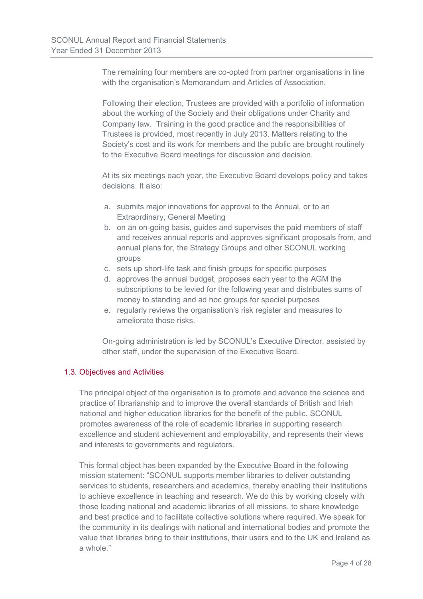The remaining four members are co-opted from partner organisations in line with the organisation's Memorandum and Articles of Association.

Following their election, Trustees are provided with a portfolio of information about the working of the Society and their obligations under Charity and Company law. Training in the good practice and the responsibilities of Trustees is provided, most recently in July 2013. Matters relating to the Society's cost and its work for members and the public are brought routinely to the Executive Board meetings for discussion and decision.

At its six meetings each year, the Executive Board develops policy and takes decisions. It also:

- a. submits major innovations for approval to the Annual, or to an Extraordinary, General Meeting
- b. on an on-going basis, guides and supervises the paid members of staff and receives annual reports and approves significant proposals from, and annual plans for, the Strategy Groups and other SCONUL working groups
- c. sets up short-life task and finish groups for specific purposes
- d. approves the annual budget, proposes each year to the AGM the subscriptions to be levied for the following year and distributes sums of money to standing and ad hoc groups for special purposes
- e. regularly reviews the organisation's risk register and measures to ameliorate those risks.

On-going administration is led by SCONUL's Executive Director, assisted by other staff, under the supervision of the Executive Board.

### 1.3. Objectives and Activities

The principal object of the organisation is to promote and advance the science and practice of librarianship and to improve the overall standards of British and Irish national and higher education libraries for the benefit of the public. SCONUL promotes awareness of the role of academic libraries in supporting research excellence and student achievement and employability, and represents their views and interests to governments and regulators.

This formal object has been expanded by the Executive Board in the following mission statement: "SCONUL supports member libraries to deliver outstanding services to students, researchers and academics, thereby enabling their institutions to achieve excellence in teaching and research. We do this by working closely with those leading national and academic libraries of all missions, to share knowledge and best practice and to facilitate collective solutions where required. We speak for the community in its dealings with national and international bodies and promote the value that libraries bring to their institutions, their users and to the UK and Ireland as a whole."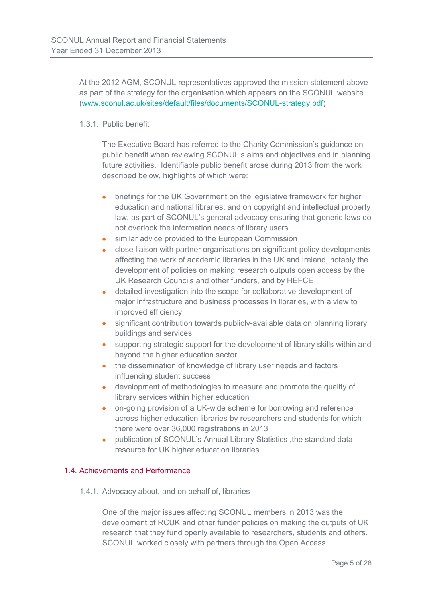At the 2012 AGM, SCONUL representatives approved the mission statement above as part of the strategy for the organisation which appears on the SCONUL website [\(www.sconul.ac.uk/sites/default/files/documents/SCONUL-strategy.pdf\)](http://www.sconul.ac.uk/sites/default/files/documents/SCONUL-strategy.pdf)

### 1.3.1. Public benefit

The Executive Board has referred to the Charity Commission's guidance on public benefit when reviewing SCONUL's aims and objectives and in planning future activities. Identifiable public benefit arose during 2013 from the work described below, highlights of which were:

- briefings for the UK Government on the legislative framework for higher education and national libraries; and on copyright and intellectual property law, as part of SCONUL's general advocacy ensuring that generic laws do not overlook the information needs of library users
- similar advice provided to the European Commission
- close liaison with partner organisations on significant policy developments affecting the work of academic libraries in the UK and Ireland, notably the development of policies on making research outputs open access by the UK Research Councils and other funders, and by HEFCE
- detailed investigation into the scope for collaborative development of major infrastructure and business processes in libraries, with a view to improved efficiency
- significant contribution towards publicly-available data on planning library buildings and services
- supporting strategic support for the development of library skills within and beyond the higher education sector
- the dissemination of knowledge of library user needs and factors influencing student success
- development of methodologies to measure and promote the quality of library services within higher education
- on-going provision of a UK-wide scheme for borrowing and reference across higher education libraries by researchers and students for which there were over 36,000 registrations in 2013
- publication of SCONUL's Annual Library Statistics , the standard dataresource for UK higher education libraries

### 1.4. Achievements and Performance

1.4.1. Advocacy about, and on behalf of, libraries

One of the major issues affecting SCONUL members in 2013 was the development of RCUK and other funder policies on making the outputs of UK research that they fund openly available to researchers, students and others. SCONUL worked closely with partners through the Open Access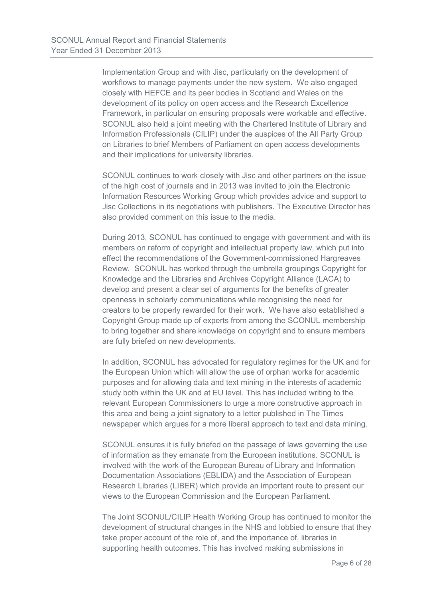Implementation Group and with Jisc, particularly on the development of workflows to manage payments under the new system. We also engaged closely with HEFCE and its peer bodies in Scotland and Wales on the development of its policy on open access and the Research Excellence Framework, in particular on ensuring proposals were workable and effective. SCONUL also held a joint meeting with the Chartered Institute of Library and Information Professionals (CILIP) under the auspices of the All Party Group on Libraries to brief Members of Parliament on open access developments and their implications for university libraries.

SCONUL continues to work closely with Jisc and other partners on the issue of the high cost of journals and in 2013 was invited to join the Electronic Information Resources Working Group which provides advice and support to Jisc Collections in its negotiations with publishers. The Executive Director has also provided comment on this issue to the media.

During 2013, SCONUL has continued to engage with government and with its members on reform of copyright and intellectual property law, which put into effect the recommendations of the Government-commissioned Hargreaves Review. SCONUL has worked through the umbrella groupings Copyright for Knowledge and the Libraries and Archives Copyright Alliance (LACA) to develop and present a clear set of arguments for the benefits of greater openness in scholarly communications while recognising the need for creators to be properly rewarded for their work. We have also established a Copyright Group made up of experts from among the SCONUL membership to bring together and share knowledge on copyright and to ensure members are fully briefed on new developments.

In addition, SCONUL has advocated for regulatory regimes for the UK and for the European Union which will allow the use of orphan works for academic purposes and for allowing data and text mining in the interests of academic study both within the UK and at EU level. This has included writing to the relevant European Commissioners to urge a more constructive approach in this area and being a joint signatory to a letter published in The Times newspaper which argues for a more liberal approach to text and data mining.

SCONUL ensures it is fully briefed on the passage of laws governing the use of information as they emanate from the European institutions. SCONUL is involved with the work of the European Bureau of Library and Information Documentation Associations (EBLIDA) and the Association of European Research Libraries (LIBER) which provide an important route to present our views to the European Commission and the European Parliament.

The Joint SCONUL/CILIP Health Working Group has continued to monitor the development of structural changes in the NHS and lobbied to ensure that they take proper account of the role of, and the importance of, libraries in supporting health outcomes. This has involved making submissions in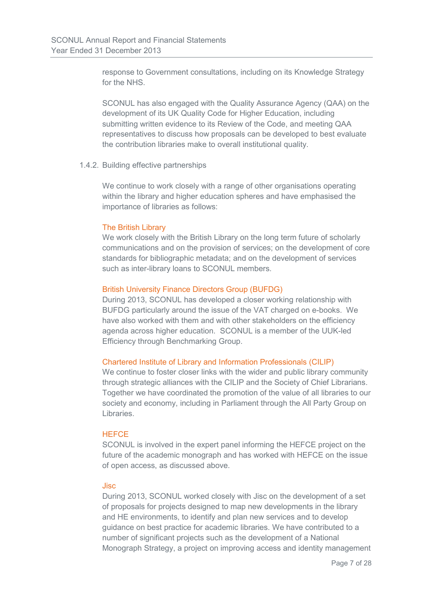response to Government consultations, including on its Knowledge Strategy for the NHS.

SCONUL has also engaged with the Quality Assurance Agency (QAA) on the development of its UK Quality Code for Higher Education, including submitting written evidence to its Review of the Code, and meeting QAA representatives to discuss how proposals can be developed to best evaluate the contribution libraries make to overall institutional quality.

### 1.4.2. Building effective partnerships

We continue to work closely with a range of other organisations operating within the library and higher education spheres and have emphasised the importance of libraries as follows:

### The British Library

We work closely with the British Library on the long term future of scholarly communications and on the provision of services; on the development of core standards for bibliographic metadata; and on the development of services such as inter-library loans to SCONUL members.

### British University Finance Directors Group (BUFDG)

During 2013, SCONUL has developed a closer working relationship with BUFDG particularly around the issue of the VAT charged on e-books. We have also worked with them and with other stakeholders on the efficiency agenda across higher education. SCONUL is a member of the UUK-led Efficiency through Benchmarking Group.

### Chartered Institute of Library and Information Professionals (CILIP)

We continue to foster closer links with the wider and public library community through strategic alliances with the CILIP and the Society of Chief Librarians. Together we have coordinated the promotion of the value of all libraries to our society and economy, including in Parliament through the All Party Group on Libraries.

### **HEFCE**

SCONUL is involved in the expert panel informing the HEFCE project on the future of the academic monograph and has worked with HEFCE on the issue of open access, as discussed above.

### Jisc

During 2013, SCONUL worked closely with Jisc on the development of a set of proposals for projects designed to map new developments in the library and HE environments, to identify and plan new services and to develop guidance on best practice for academic libraries. We have contributed to a number of significant projects such as the development of a National Monograph Strategy, a project on improving access and identity management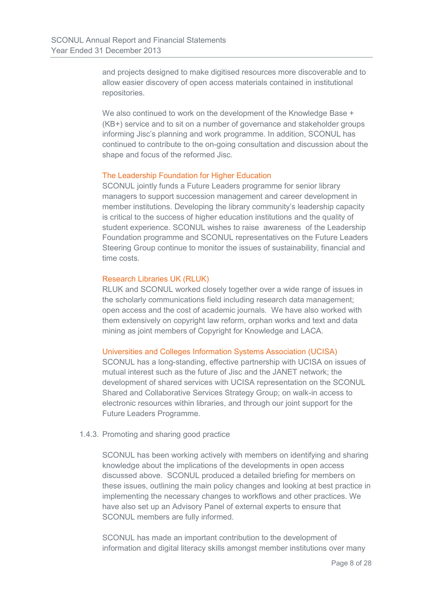and projects designed to make digitised resources more discoverable and to allow easier discovery of open access materials contained in institutional repositories.

We also continued to work on the development of the Knowledge Base + (KB+) service and to sit on a number of governance and stakeholder groups informing Jisc's planning and work programme. In addition, SCONUL has continued to contribute to the on-going consultation and discussion about the shape and focus of the reformed Jisc.

### The Leadership Foundation for Higher Education

SCONUL jointly funds a Future Leaders programme for senior library managers to support succession management and career development in member institutions. Developing the library community's leadership capacity is critical to the success of higher education institutions and the quality of student experience. SCONUL wishes to raise awareness of the Leadership Foundation programme and SCONUL representatives on the Future Leaders Steering Group continue to monitor the issues of sustainability, financial and time costs.

### Research Libraries UK (RLUK)

RLUK and SCONUL worked closely together over a wide range of issues in the scholarly communications field including research data management; open access and the cost of academic journals. We have also worked with them extensively on copyright law reform, orphan works and text and data mining as joint members of Copyright for Knowledge and LACA.

### Universities and Colleges Information Systems Association (UCISA)

SCONUL has a long-standing, effective partnership with UCISA on issues of mutual interest such as the future of Jisc and the JANET network; the development of shared services with UCISA representation on the SCONUL Shared and Collaborative Services Strategy Group; on walk-in access to electronic resources within libraries, and through our joint support for the Future Leaders Programme.

### 1.4.3. Promoting and sharing good practice

SCONUL has been working actively with members on identifying and sharing knowledge about the implications of the developments in open access discussed above. SCONUL produced a detailed briefing for members on these issues, outlining the main policy changes and looking at best practice in implementing the necessary changes to workflows and other practices. We have also set up an Advisory Panel of external experts to ensure that SCONUL members are fully informed.

SCONUL has made an important contribution to the development of information and digital literacy skills amongst member institutions over many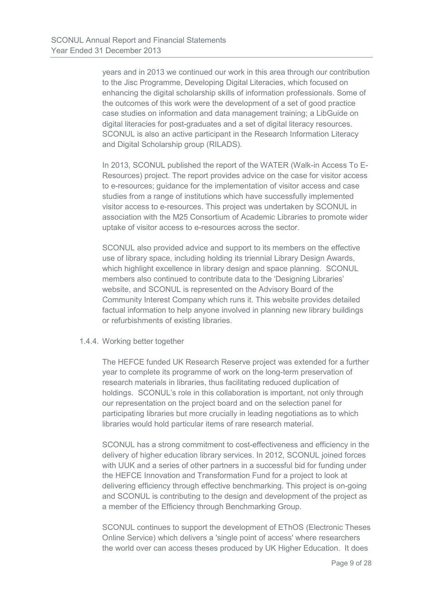years and in 2013 we continued our work in this area through our contribution to the Jisc Programme, Developing Digital Literacies, which focused on enhancing the digital scholarship skills of information professionals. Some of the outcomes of this work were the development of a set of good practice case studies on information and data management training; a LibGuide on digital literacies for post-graduates and a set of digital literacy resources. SCONUL is also an active participant in the Research Information Literacy and Digital Scholarship group (RILADS).

In 2013, SCONUL published the report of the WATER (Walk-in Access To E-Resources) project. The report provides advice on the case for visitor access to e-resources; guidance for the implementation of visitor access and case studies from a range of institutions which have successfully implemented visitor access to e-resources. This project was undertaken by SCONUL in association with the M25 Consortium of Academic Libraries to promote wider uptake of visitor access to e-resources across the sector.

SCONUL also provided advice and support to its members on the effective use of library space, including holding its triennial Library Design Awards, which highlight excellence in library design and space planning. SCONUL members also continued to contribute data to the 'Designing Libraries' website, and SCONUL is represented on the Advisory Board of the Community Interest Company which runs it. This website provides detailed factual information to help anyone involved in planning new library buildings or refurbishments of existing libraries.

#### 1.4.4. Working better together

The HEFCE funded UK Research Reserve project was extended for a further year to complete its programme of work on the long-term preservation of research materials in libraries, thus facilitating reduced duplication of holdings. SCONUL's role in this collaboration is important, not only through our representation on the project board and on the selection panel for participating libraries but more crucially in leading negotiations as to which libraries would hold particular items of rare research material.

SCONUL has a strong commitment to cost-effectiveness and efficiency in the delivery of higher education library services. In 2012, SCONUL joined forces with UUK and a series of other partners in a successful bid for funding under the HEFCE Innovation and Transformation Fund for a project to look at delivering efficiency through effective benchmarking. This project is on-going and SCONUL is contributing to the design and development of the project as a member of the Efficiency through Benchmarking Group.

SCONUL continues to support the development of EThOS (Electronic Theses Online Service) which delivers a 'single point of access' where researchers the world over can access theses produced by UK Higher Education. It does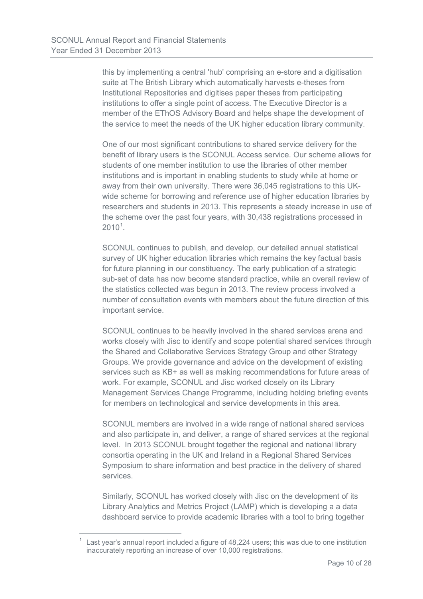this by implementing a central 'hub' comprising an e-store and a digitisation suite at The British Library which automatically harvests e-theses from Institutional Repositories and digitises paper theses from participating institutions to offer a single point of access. The Executive Director is a member of the EThOS Advisory Board and helps shape the development of the service to meet the needs of the UK higher education library community.

One of our most significant contributions to shared service delivery for the benefit of library users is the SCONUL Access service. Our scheme allows for students of one member institution to use the libraries of other member institutions and is important in enabling students to study while at home or away from their own university. There were 36,045 registrations to this UKwide scheme for borrowing and reference use of higher education libraries by researchers and students in 2013. This represents a steady increase in use of the scheme over the past four years, with 30,438 registrations processed in  $2010^1$  $2010^1$  $2010^1$ .

SCONUL continues to publish, and develop, our detailed annual statistical survey of UK higher education libraries which remains the key factual basis for future planning in our constituency. The early publication of a strategic sub-set of data has now become standard practice, while an overall review of the statistics collected was begun in 2013. The review process involved a number of consultation events with members about the future direction of this important service.

SCONUL continues to be heavily involved in the shared services arena and works closely with Jisc to identify and scope potential shared services through the Shared and Collaborative Services Strategy Group and other Strategy Groups. We provide governance and advice on the development of existing services such as KB+ as well as making recommendations for future areas of work. For example, SCONUL and Jisc worked closely on its Library Management Services Change Programme, including holding briefing events for members on technological and service developments in this area.

SCONUL members are involved in a wide range of national shared services and also participate in, and deliver, a range of shared services at the regional level. In 2013 SCONUL brought together the regional and national library consortia operating in the UK and Ireland in a Regional Shared Services Symposium to share information and best practice in the delivery of shared services.

Similarly, SCONUL has worked closely with Jisc on the development of its Library Analytics and Metrics Project (LAMP) which is developing a a data dashboard service to provide academic libraries with a tool to bring together

 $\overline{a}$ 

<span id="page-13-0"></span>Last year's annual report included a figure of 48,224 users; this was due to one institution inaccurately reporting an increase of over 10,000 registrations.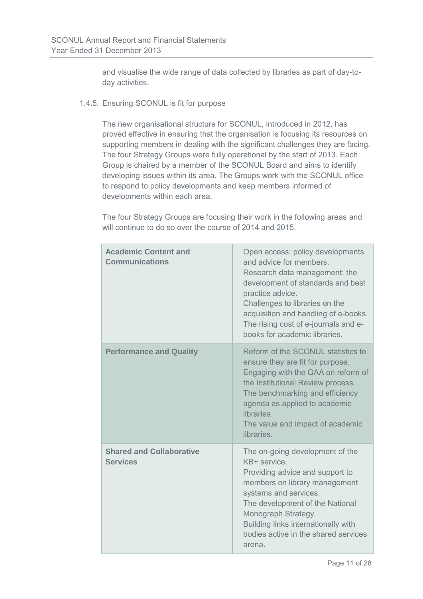and visualise the wide range of data collected by libraries as part of day-today activities.

### 1.4.5. Ensuring SCONUL is fit for purpose

The new organisational structure for SCONUL, introduced in 2012, has proved effective in ensuring that the organisation is focusing its resources on supporting members in dealing with the significant challenges they are facing. The four Strategy Groups were fully operational by the start of 2013. Each Group is chaired by a member of the SCONUL Board and aims to identify developing issues within its area. The Groups work with the SCONUL office to respond to policy developments and keep members informed of developments within each area.

The four Strategy Groups are focusing their work in the following areas and will continue to do so over the course of 2014 and 2015.

| <b>Academic Content and</b><br><b>Communications</b> | Open access: policy developments<br>and advice for members.<br>Research data management: the<br>development of standards and best<br>practice advice.<br>Challenges to libraries on the<br>acquisition and handling of e-books.<br>The rising cost of e-journals and e-<br>books for academic libraries. |
|------------------------------------------------------|----------------------------------------------------------------------------------------------------------------------------------------------------------------------------------------------------------------------------------------------------------------------------------------------------------|
| <b>Performance and Quality</b>                       | Reform of the SCONUL statistics to<br>ensure they are fit for purpose.<br>Engaging with the QAA on reform of<br>the Institutional Review process.<br>The benchmarking and efficiency<br>agenda as applied to academic<br>libraries.<br>The value and impact of academic<br>libraries.                    |
| <b>Shared and Collaborative</b><br><b>Services</b>   | The on-going development of the<br>KB+ service.<br>Providing advice and support to<br>members on library management<br>systems and services.<br>The development of the National<br>Monograph Strategy.<br>Building links internationally with<br>bodies active in the shared services<br>arena.          |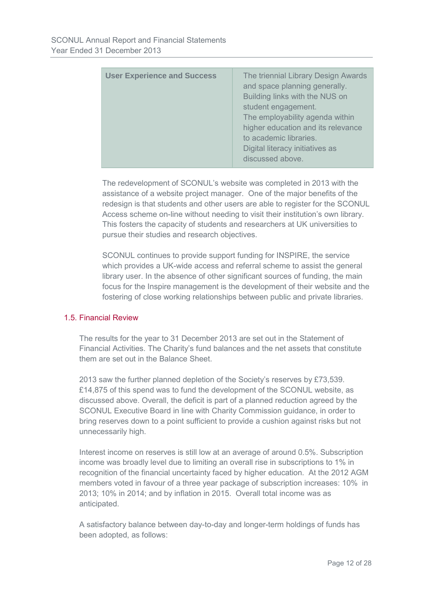| higher education and its relevance<br>to academic libraries.<br>Digital literacy initiatives as<br>discussed above. |
|---------------------------------------------------------------------------------------------------------------------|
|---------------------------------------------------------------------------------------------------------------------|

The redevelopment of SCONUL's website was completed in 2013 with the assistance of a website project manager. One of the major benefits of the redesign is that students and other users are able to register for the SCONUL Access scheme on-line without needing to visit their institution's own library. This fosters the capacity of students and researchers at UK universities to pursue their studies and research objectives.

SCONUL continues to provide support funding for INSPIRE, the service which provides a UK-wide access and referral scheme to assist the general library user. In the absence of other significant sources of funding, the main focus for the Inspire management is the development of their website and the fostering of close working relationships between public and private libraries.

### 1.5. Financial Review

The results for the year to 31 December 2013 are set out in the Statement of Financial Activities. The Charity's fund balances and the net assets that constitute them are set out in the Balance Sheet.

2013 saw the further planned depletion of the Society's reserves by £73,539. £14,875 of this spend was to fund the development of the SCONUL website, as discussed above. Overall, the deficit is part of a planned reduction agreed by the SCONUL Executive Board in line with Charity Commission guidance, in order to bring reserves down to a point sufficient to provide a cushion against risks but not unnecessarily high.

Interest income on reserves is still low at an average of around 0.5%. Subscription income was broadly level due to limiting an overall rise in subscriptions to 1% in recognition of the financial uncertainty faced by higher education. At the 2012 AGM members voted in favour of a three year package of subscription increases: 10% in 2013; 10% in 2014; and by inflation in 2015. Overall total income was as anticipated.

A satisfactory balance between day-to-day and longer-term holdings of funds has been adopted, as follows: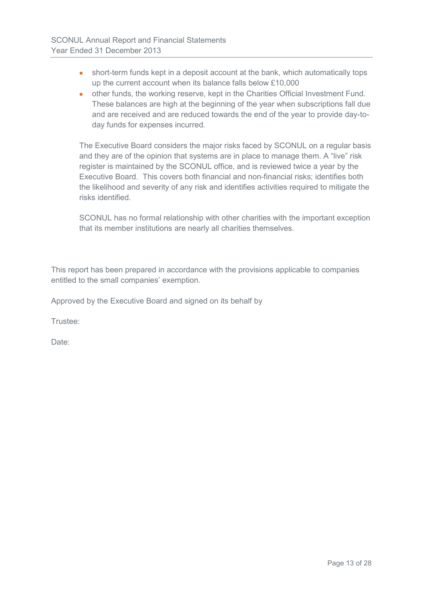- short-term funds kept in a deposit account at the bank, which automatically tops up the current account when its balance falls below £10,000
- other funds, the working reserve, kept in the Charities Official Investment Fund. These balances are high at the beginning of the year when subscriptions fall due and are received and are reduced towards the end of the year to provide day-today funds for expenses incurred.

The Executive Board considers the major risks faced by SCONUL on a regular basis and they are of the opinion that systems are in place to manage them. A "live" risk register is maintained by the SCONUL office, and is reviewed twice a year by the Executive Board. This covers both financial and non-financial risks; identifies both the likelihood and severity of any risk and identifies activities required to mitigate the risks identified.

SCONUL has no formal relationship with other charities with the important exception that its member institutions are nearly all charities themselves.

This report has been prepared in accordance with the provisions applicable to companies entitled to the small companies' exemption.

Approved by the Executive Board and signed on its behalf by

Trustee:

Date: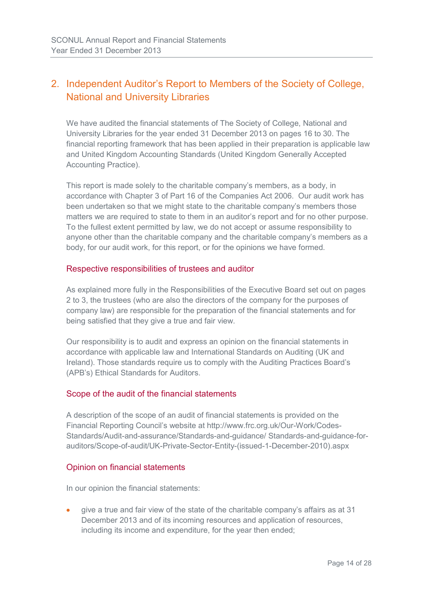### 2. Independent Auditor's Report to Members of the Society of College, National and University Libraries

We have audited the financial statements of The Society of College, National and University Libraries for the year ended 31 December 2013 on pages 16 to 30. The financial reporting framework that has been applied in their preparation is applicable law and United Kingdom Accounting Standards (United Kingdom Generally Accepted Accounting Practice).

This report is made solely to the charitable company's members, as a body, in accordance with Chapter 3 of Part 16 of the Companies Act 2006. Our audit work has been undertaken so that we might state to the charitable company's members those matters we are required to state to them in an auditor's report and for no other purpose. To the fullest extent permitted by law, we do not accept or assume responsibility to anyone other than the charitable company and the charitable company's members as a body, for our audit work, for this report, or for the opinions we have formed.

### Respective responsibilities of trustees and auditor

As explained more fully in the Responsibilities of the Executive Board set out on pages 2 to 3, the trustees (who are also the directors of the company for the purposes of company law) are responsible for the preparation of the financial statements and for being satisfied that they give a true and fair view.

Our responsibility is to audit and express an opinion on the financial statements in accordance with applicable law and International Standards on Auditing (UK and Ireland). Those standards require us to comply with the Auditing Practices Board's (APB's) Ethical Standards for Auditors.

### Scope of the audit of the financial statements

A description of the scope of an audit of financial statements is provided on the Financial Reporting Council's website at http://www.frc.org.uk/Our-Work/Codes-Standards/Audit-and-assurance/Standards-and-guidance/ Standards-and-guidance-forauditors/Scope-of-audit/UK-Private-Sector-Entity-(issued-1-December-2010).aspx

### Opinion on financial statements

In our opinion the financial statements:

• give a true and fair view of the state of the charitable company's affairs as at 31 December 2013 and of its incoming resources and application of resources, including its income and expenditure, for the year then ended;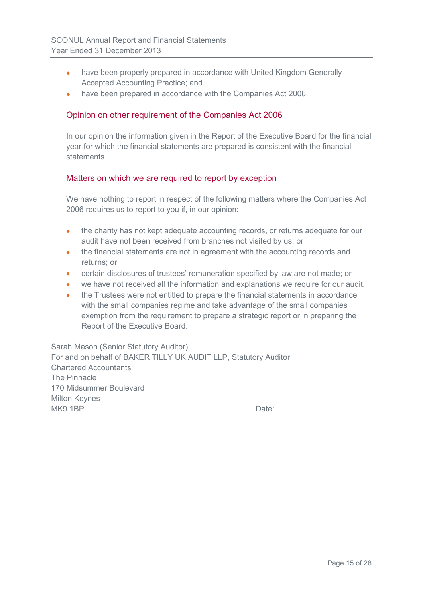- have been properly prepared in accordance with United Kingdom Generally Accepted Accounting Practice; and
- have been prepared in accordance with the Companies Act 2006.

### Opinion on other requirement of the Companies Act 2006

In our opinion the information given in the Report of the Executive Board for the financial year for which the financial statements are prepared is consistent with the financial **statements** 

### Matters on which we are required to report by exception

We have nothing to report in respect of the following matters where the Companies Act 2006 requires us to report to you if, in our opinion:

- the charity has not kept adequate accounting records, or returns adequate for our audit have not been received from branches not visited by us; or
- the financial statements are not in agreement with the accounting records and returns; or
- certain disclosures of trustees' remuneration specified by law are not made; or
- we have not received all the information and explanations we require for our audit.
- the Trustees were not entitled to prepare the financial statements in accordance with the small companies regime and take advantage of the small companies exemption from the requirement to prepare a strategic report or in preparing the Report of the Executive Board.

Sarah Mason (Senior Statutory Auditor) For and on behalf of BAKER TILLY UK AUDIT LLP, Statutory Auditor Chartered Accountants The Pinnacle 170 Midsummer Boulevard Milton Keynes MK9 1BP Date: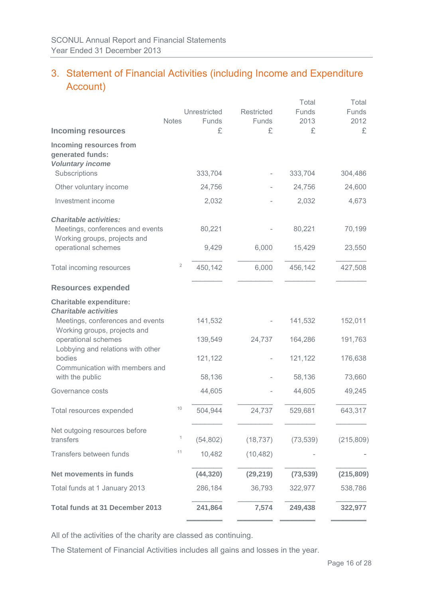### 3. Statement of Financial Activities (including Income and Expenditure Account)

|                                                                                                                                    |                |                    |                   | Total              | Total              |
|------------------------------------------------------------------------------------------------------------------------------------|----------------|--------------------|-------------------|--------------------|--------------------|
|                                                                                                                                    |                | Unrestricted       | <b>Restricted</b> | Funds              | <b>Funds</b>       |
| <b>Incoming resources</b>                                                                                                          | <b>Notes</b>   | Funds<br>£         | Funds<br>£        | 2013<br>£          | 2012<br>£          |
| <b>Incoming resources from</b><br>generated funds:<br><b>Voluntary income</b><br>Subscriptions                                     |                | 333,704            |                   | 333,704            | 304,486            |
| Other voluntary income                                                                                                             |                | 24,756             |                   | 24,756             | 24,600             |
| Investment income                                                                                                                  |                | 2,032              |                   | 2,032              | 4,673              |
| <b>Charitable activities:</b><br>Meetings, conferences and events<br>Working groups, projects and                                  |                | 80,221             |                   | 80,221             | 70,199             |
| operational schemes                                                                                                                |                | 9,429              | 6,000             | 15,429             | 23,550             |
| Total incoming resources                                                                                                           | $\overline{c}$ | 450,142            | 6,000             | 456,142            | 427,508            |
| <b>Resources expended</b>                                                                                                          |                |                    |                   |                    |                    |
| <b>Charitable expenditure:</b><br><b>Charitable activities</b><br>Meetings, conferences and events<br>Working groups, projects and |                | 141,532            |                   | 141,532            | 152,011            |
| operational schemes<br>Lobbying and relations with other<br>bodies<br>Communication with members and                               |                | 139,549<br>121,122 | 24,737            | 164,286<br>121,122 | 191,763<br>176,638 |
| with the public                                                                                                                    |                | 58,136             |                   | 58,136             | 73,660             |
| Governance costs                                                                                                                   |                | 44,605             |                   | 44,605             | 49,245             |
| Total resources expended                                                                                                           | 10             | 504,944            | 24,737            | 529,681            | 643,317            |
| Net outgoing resources before<br>transfers                                                                                         | 1              | (54, 802)          | (18, 737)         | (73, 539)          | (215, 809)         |
| Transfers between funds                                                                                                            | 11             | 10,482             | (10, 482)         |                    |                    |
| Net movements in funds                                                                                                             |                | (44, 320)          | (29, 219)         | (73, 539)          | (215, 809)         |
| Total funds at 1 January 2013                                                                                                      |                | 286,184            | 36,793            | 322,977            | 538,786            |
| <b>Total funds at 31 December 2013</b>                                                                                             |                | 241,864            | 7,574             | 249,438            | 322,977            |

All of the activities of the charity are classed as continuing.

The Statement of Financial Activities includes all gains and losses in the year.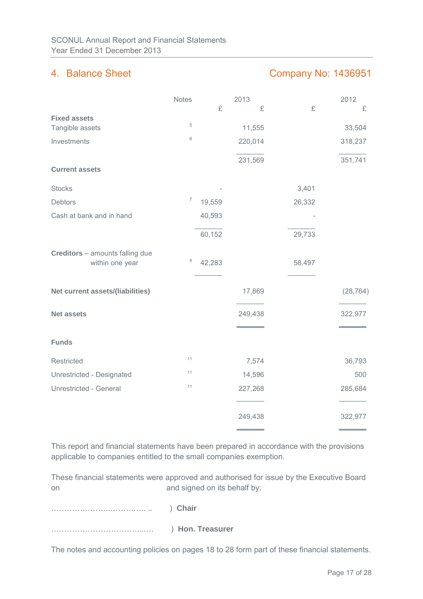### 4. Balance Sheet Company No: 1436951

|                                                    | <b>Notes</b>   |        | 2013    |        | 2012      |
|----------------------------------------------------|----------------|--------|---------|--------|-----------|
|                                                    |                | £      | £       | £      | £         |
| <b>Fixed assets</b><br>Tangible assets             | $\,$ 5 $\,$    |        | 11,555  |        | 33,504    |
| Investments                                        | 6              |        | 220,014 |        | 318,237   |
|                                                    |                |        |         |        |           |
| <b>Current assets</b>                              |                |        | 231,569 |        | 351,741   |
| <b>Stocks</b>                                      |                |        |         | 3,401  |           |
| Debtors                                            | $\overline{7}$ | 19,559 |         | 26,332 |           |
| Cash at bank and in hand                           |                | 40,593 |         |        |           |
|                                                    |                | 60,152 |         | 29,733 |           |
| Creditors - amounts falling due<br>within one year | 8              | 42,283 |         | 58,497 |           |
| Net current assets/(liabilities)                   |                |        | 17,869  |        | (28, 764) |
| <b>Net assets</b>                                  |                |        | 249,438 |        | 322,977   |
| <b>Funds</b>                                       |                |        |         |        |           |
| Restricted                                         | 11             |        | 7,574   |        | 36,793    |
| Unrestricted - Designated                          | 11             |        | 14,596  |        | 500       |
| Unrestricted - General                             | 11             |        | 227,268 |        | 285,684   |
|                                                    |                |        | 249,438 |        | 322,977   |

This report and financial statements have been prepared in accordance with the provisions applicable to companies entitled to the small companies exemption.

These financial statements were approved and authorised for issue by the Executive Board on and signed on its behalf by:

…………………..………….. .. ) **Chair**

……………………………...…. ) **Hon. Treasurer** 

The notes and accounting policies on pages 18 to 28 form part of these financial statements.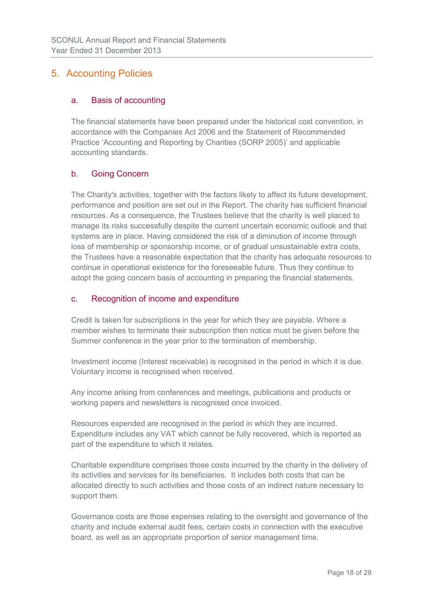### 5. Accounting Policies

### a. Basis of accounting

The financial statements have been prepared under the historical cost convention, in accordance with the Companies Act 2006 and the Statement of Recommended Practice 'Accounting and Reporting by Charities (SORP 2005)' and applicable accounting standards.

### b. Going Concern

The Charity's activities, together with the factors likely to affect its future development, performance and position are set out in the Report. The charity has sufficient financial resources. As a consequence, the Trustees believe that the charity is well placed to manage its risks successfully despite the current uncertain economic outlook and that systems are in place. Having considered the risk of a diminution of income through loss of membership or sponsorship income, or of gradual unsustainable extra costs, the Trustees have a reasonable expectation that the charity has adequate resources to continue in operational existence for the foreseeable future. Thus they continue to adopt the going concern basis of accounting in preparing the financial statements.

### c. Recognition of income and expenditure

Credit is taken for subscriptions in the year for which they are payable. Where a member wishes to terminate their subscription then notice must be given before the Summer conference in the year prior to the termination of membership.

Investment income (Interest receivable) is recognised in the period in which it is due. Voluntary income is recognised when received.

Any income arising from conferences and meetings, publications and products or working papers and newsletters is recognised once invoiced.

Resources expended are recognised in the period in which they are incurred. Expenditure includes any VAT which cannot be fully recovered, which is reported as part of the expenditure to which it relates.

Charitable expenditure comprises those costs incurred by the charity in the delivery of its activities and services for its beneficiaries. It includes both costs that can be allocated directly to such activities and those costs of an indirect nature necessary to support them.

Governance costs are those expenses relating to the oversight and governance of the charity and include external audit fees, certain costs in connection with the executive board, as well as an appropriate proportion of senior management time.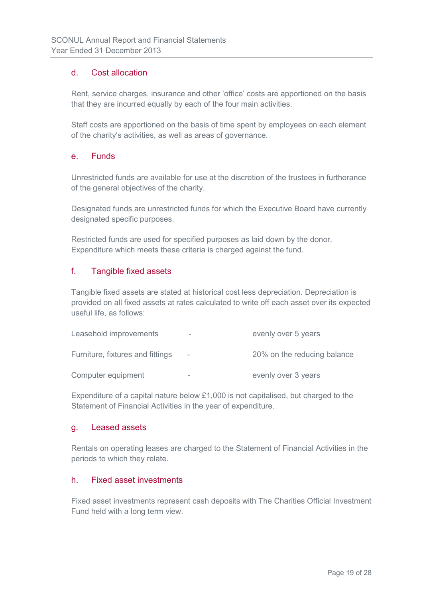### d. Cost allocation

Rent, service charges, insurance and other 'office' costs are apportioned on the basis that they are incurred equally by each of the four main activities.

Staff costs are apportioned on the basis of time spent by employees on each element of the charity's activities, as well as areas of governance.

### e. Funds

Unrestricted funds are available for use at the discretion of the trustees in furtherance of the general objectives of the charity.

Designated funds are unrestricted funds for which the Executive Board have currently designated specific purposes.

Restricted funds are used for specified purposes as laid down by the donor. Expenditure which meets these criteria is charged against the fund.

### f. Tangible fixed assets

Tangible fixed assets are stated at historical cost less depreciation. Depreciation is provided on all fixed assets at rates calculated to write off each asset over its expected useful life, as follows:

| Leasehold improvements           | - | evenly over 5 years         |
|----------------------------------|---|-----------------------------|
| Furniture, fixtures and fittings |   | 20% on the reducing balance |
| Computer equipment               | - | evenly over 3 years         |

Expenditure of a capital nature below £1,000 is not capitalised, but charged to the Statement of Financial Activities in the year of expenditure.

### g. Leased assets

Rentals on operating leases are charged to the Statement of Financial Activities in the periods to which they relate.

### h. Fixed asset investments

Fixed asset investments represent cash deposits with The Charities Official Investment Fund held with a long term view.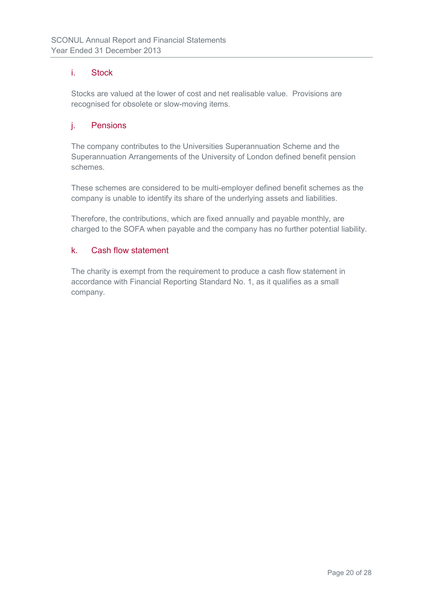### i. Stock

Stocks are valued at the lower of cost and net realisable value. Provisions are recognised for obsolete or slow-moving items.

### j. Pensions

The company contributes to the Universities Superannuation Scheme and the Superannuation Arrangements of the University of London defined benefit pension schemes.

These schemes are considered to be multi-employer defined benefit schemes as the company is unable to identify its share of the underlying assets and liabilities.

Therefore, the contributions, which are fixed annually and payable monthly, are charged to the SOFA when payable and the company has no further potential liability.

### k. Cash flow statement

The charity is exempt from the requirement to produce a cash flow statement in accordance with Financial Reporting Standard No. 1, as it qualifies as a small company.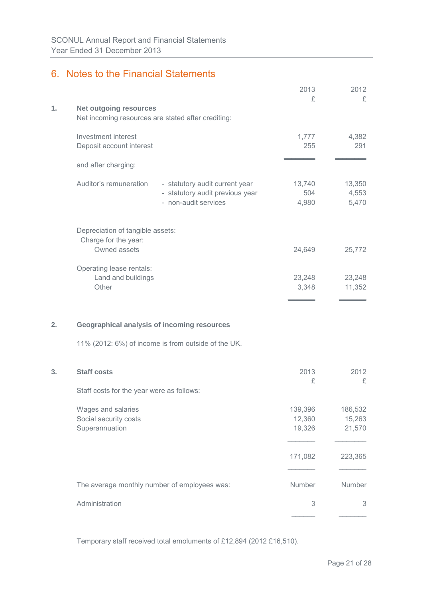### 6. Notes to the Financial Statements

|    |                                                                                                                     | 2013<br>£                   | 2012<br>£                   |
|----|---------------------------------------------------------------------------------------------------------------------|-----------------------------|-----------------------------|
| 1. | <b>Net outgoing resources</b><br>Net incoming resources are stated after crediting:                                 |                             |                             |
|    | Investment interest<br>Deposit account interest                                                                     | 1,777<br>255                | 4,382<br>291                |
|    | and after charging:                                                                                                 |                             |                             |
|    | Auditor's remuneration<br>- statutory audit current year<br>- statutory audit previous year<br>- non-audit services | 13,740<br>504<br>4,980      | 13,350<br>4,553<br>5,470    |
|    | Depreciation of tangible assets:<br>Charge for the year:<br>Owned assets                                            | 24,649                      | 25,772                      |
|    | Operating lease rentals:<br>Land and buildings<br>Other                                                             | 23,248<br>3,348             | 23,248<br>11,352            |
| 2. | <b>Geographical analysis of incoming resources</b>                                                                  |                             |                             |
|    | 11% (2012: 6%) of income is from outside of the UK.                                                                 |                             |                             |
| 3. | <b>Staff costs</b>                                                                                                  | 2013<br>£                   | 2012<br>£                   |
|    | Staff costs for the year were as follows:                                                                           |                             |                             |
|    | Wages and salaries<br>Social security costs<br>Superannuation                                                       | 139,396<br>12,360<br>19,326 | 186,532<br>15,263<br>21,570 |
|    |                                                                                                                     | 171,082                     | 223,365                     |
|    | The average monthly number of employees was:                                                                        | Number                      | Number                      |
|    | Administration                                                                                                      | 3                           | 3                           |
|    |                                                                                                                     |                             |                             |

Temporary staff received total emoluments of £12,894 (2012 £16,510).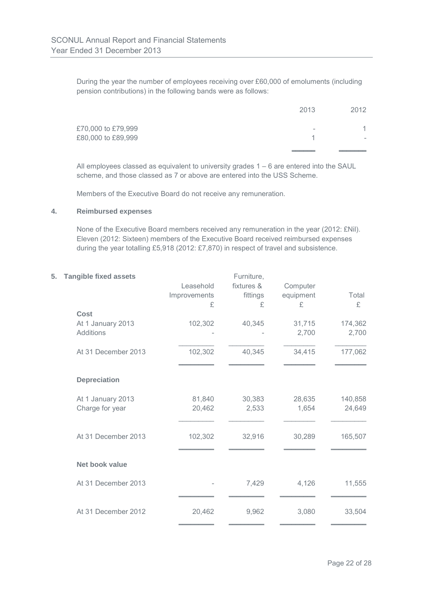During the year the number of employees receiving over £60,000 of emoluments (including pension contributions) in the following bands were as follows:

|                    | 2013 | 2012                     |
|--------------------|------|--------------------------|
| £70,000 to £79,999 | -    |                          |
| £80,000 to £89,999 |      | $\overline{\phantom{a}}$ |
|                    |      |                          |

All employees classed as equivalent to university grades 1 – 6 are entered into the SAUL scheme, and those classed as 7 or above are entered into the USS Scheme.

Members of the Executive Board do not receive any remuneration.

#### **4. Reimbursed expenses**

None of the Executive Board members received any remuneration in the year (2012: £Nil). Eleven (2012: Sixteen) members of the Executive Board received reimbursed expenses during the year totalling £5,918 (2012: £7,870) in respect of travel and subsistence.

### **5. Tangible fixed assets Furniture,**

|                     | Leasehold<br>Improvements<br>£ | fixtures &<br>fittings<br>£ | Computer<br>equipment<br>£ | Total<br>£ |
|---------------------|--------------------------------|-----------------------------|----------------------------|------------|
| Cost                |                                |                             |                            |            |
| At 1 January 2013   | 102,302                        | 40,345                      | 31,715                     | 174,362    |
| <b>Additions</b>    |                                |                             | 2,700                      | 2,700      |
| At 31 December 2013 | 102,302                        | 40,345                      | 34,415                     | 177,062    |
| <b>Depreciation</b> |                                |                             |                            |            |
| At 1 January 2013   | 81,840                         | 30,383                      | 28,635                     | 140,858    |
| Charge for year     | 20,462                         | 2,533                       | 1,654                      | 24,649     |
| At 31 December 2013 | 102,302                        | 32,916                      | 30,289                     | 165,507    |
| Net book value      |                                |                             |                            |            |
| At 31 December 2013 |                                | 7,429                       | 4,126                      | 11,555     |
| At 31 December 2012 | 20,462                         | 9,962                       | 3,080                      | 33,504     |
|                     |                                |                             |                            |            |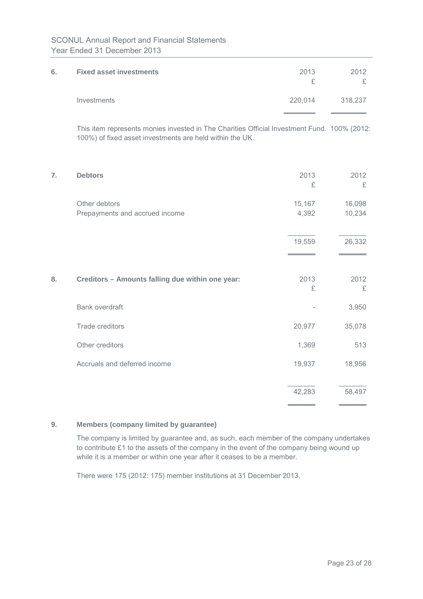| 6. | <b>Fixed asset investments</b>                                                                                                                          | 2013<br>£       | 2012<br>£        |
|----|---------------------------------------------------------------------------------------------------------------------------------------------------------|-----------------|------------------|
|    | Investments                                                                                                                                             | 220,014         | 318,237          |
|    | This item represents monies invested in The Charities Official Investment Fund. 100% (2012:<br>100%) of fixed asset investments are held within the UK. |                 |                  |
| 7. | <b>Debtors</b>                                                                                                                                          | 2013<br>£       | 2012<br>£        |
|    | Other debtors<br>Prepayments and accrued income                                                                                                         | 15,167<br>4,392 | 16,098<br>10,234 |
|    |                                                                                                                                                         | 19,559          | 26,332           |
| 8. | Creditors - Amounts falling due within one year:                                                                                                        | 2013<br>£       | 2012<br>£        |
|    | <b>Bank overdraft</b>                                                                                                                                   |                 | 3,950            |
|    | <b>Trade creditors</b>                                                                                                                                  | 20,977          | 35,078           |
|    | Other creditors                                                                                                                                         | 1,369           | 513              |
|    | Accruals and deferred income                                                                                                                            | 19,937          | 18,956           |
|    |                                                                                                                                                         | 42,283          | 58,497           |

### **9. Members (company limited by guarantee)**

The company is limited by guarantee and, as such, each member of the company undertakes to contribute £1 to the assets of the company in the event of the company being wound up while it is a member or within one year after it ceases to be a member.

There were 175 (2012: 175) member institutions at 31 December 2013.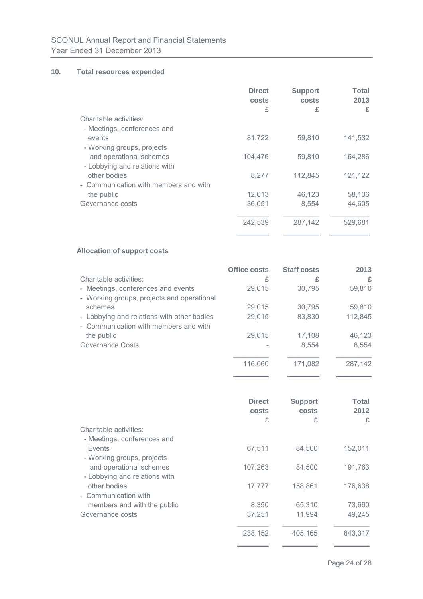### **10. Total resources expended**

|                                       | <b>Direct</b><br>costs<br>£ | <b>Support</b><br>costs<br>£ | Total<br>2013<br>£ |
|---------------------------------------|-----------------------------|------------------------------|--------------------|
| Charitable activities:                |                             |                              |                    |
| - Meetings, conferences and           |                             |                              |                    |
| events                                | 81,722                      | 59,810                       | 141,532            |
| - Working groups, projects            |                             |                              |                    |
| and operational schemes               | 104,476                     | 59,810                       | 164,286            |
| - Lobbying and relations with         |                             |                              |                    |
| other bodies                          | 8,277                       | 112,845                      | 121,122            |
| - Communication with members and with |                             |                              |                    |
| the public                            | 12,013                      | 46,123                       | 58,136             |
| Governance costs                      | 36,051                      | 8,554                        | 44,605             |
|                                       | 242,539                     | 287,142                      | 529,681            |

### **Allocation of support costs**

|                                            | <b>Office costs</b> | <b>Staff costs</b> | 2013    |
|--------------------------------------------|---------------------|--------------------|---------|
| Charitable activities:                     | £                   | £                  | £       |
| - Meetings, conferences and events         | 29,015              | 30,795             | 59,810  |
| - Working groups, projects and operational |                     |                    |         |
| schemes                                    | 29,015              | 30,795             | 59,810  |
| - Lobbying and relations with other bodies | 29,015              | 83,830             | 112,845 |
| - Communication with members and with      |                     |                    |         |
| the public                                 | 29,015              | 17,108             | 46,123  |
| Governance Costs                           |                     | 8,554              | 8,554   |
|                                            |                     |                    |         |
|                                            | 116,060             | 171,082            | 287,142 |
|                                            |                     |                    |         |

|                               | <b>Direct</b><br>costs | <b>Support</b><br>costs | Total<br>2012 |
|-------------------------------|------------------------|-------------------------|---------------|
|                               | £                      | £                       | £             |
| Charitable activities:        |                        |                         |               |
| - Meetings, conferences and   |                        |                         |               |
| Events                        | 67,511                 | 84,500                  | 152,011       |
| - Working groups, projects    |                        |                         |               |
| and operational schemes       | 107,263                | 84,500                  | 191,763       |
| - Lobbying and relations with |                        |                         |               |
| other bodies                  | 17,777                 | 158,861                 | 176,638       |
| - Communication with          |                        |                         |               |
| members and with the public   | 8,350                  | 65,310                  | 73,660        |
| Governance costs              | 37,251                 | 11,994                  | 49,245        |
|                               |                        |                         |               |
|                               | 238,152                | 405.165                 | 643.317       |

**\_\_\_\_\_\_\_\_ \_\_\_\_\_\_\_\_\_ \_\_\_\_\_\_\_\_\_**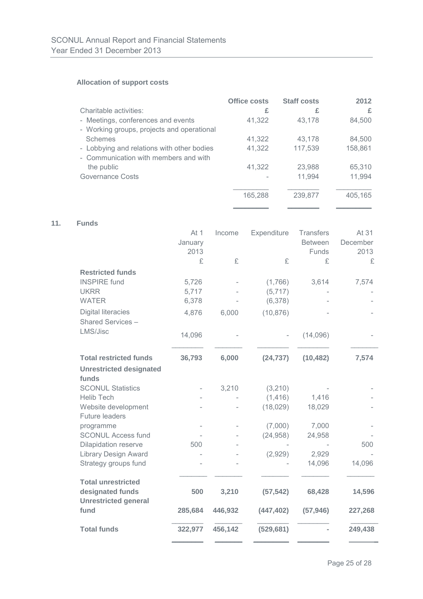### **Allocation of support costs**

|                                            | Office costs | <b>Staff costs</b> | 2012    |
|--------------------------------------------|--------------|--------------------|---------|
| Charitable activities:                     | £            | £                  | £       |
| - Meetings, conferences and events         | 41,322       | 43,178             | 84,500  |
| - Working groups, projects and operational |              |                    |         |
| <b>Schemes</b>                             | 41,322       | 43,178             | 84,500  |
| - Lobbying and relations with other bodies | 41,322       | 117,539            | 158,861 |
| - Communication with members and with      |              |                    |         |
| the public                                 | 41,322       | 23,988             | 65,310  |
| Governance Costs                           |              | 11,994             | 11,994  |
|                                            |              |                    |         |
|                                            | 165,288      | 239,877            | 405,165 |
|                                            |              |                    |         |

### **11. Funds**

|                                                 | At 1    | Income  | Expenditure | Transfers      | At 31    |
|-------------------------------------------------|---------|---------|-------------|----------------|----------|
|                                                 | January |         |             | <b>Between</b> | December |
|                                                 | 2013    |         |             | Funds          | 2013     |
|                                                 | £       | £       | £           | £              | £        |
| <b>Restricted funds</b>                         |         |         |             |                |          |
| <b>INSPIRE</b> fund                             | 5,726   |         | (1,766)     | 3,614          | 7,574    |
| <b>UKRR</b>                                     | 5,717   |         | (5, 717)    |                |          |
| <b>WATER</b>                                    | 6,378   |         | (6,378)     |                |          |
| <b>Digital literacies</b>                       | 4,876   | 6,000   | (10, 876)   |                |          |
| Shared Services-                                |         |         |             |                |          |
| LMS/Jisc                                        | 14,096  |         |             | (14,096)       |          |
| <b>Total restricted funds</b>                   | 36,793  | 6,000   | (24, 737)   | (10, 482)      | 7,574    |
| <b>Unrestricted designated</b>                  |         |         |             |                |          |
| funds                                           |         |         |             |                |          |
| <b>SCONUL Statistics</b>                        |         | 3,210   | (3,210)     |                |          |
| <b>Helib Tech</b>                               |         |         | (1, 416)    | 1,416          |          |
| Website development                             |         |         | (18,029)    | 18,029         |          |
| <b>Future leaders</b>                           |         |         |             |                |          |
| programme                                       |         |         | (7,000)     | 7,000          |          |
| <b>SCONUL Access fund</b>                       |         |         | (24, 958)   | 24,958         |          |
| Dilapidation reserve                            | 500     |         |             |                | 500      |
| <b>Library Design Award</b>                     |         |         | (2,929)     | 2,929          |          |
| Strategy groups fund                            |         |         |             | 14,096         | 14,096   |
|                                                 |         |         |             |                |          |
| <b>Total unrestricted</b>                       |         |         |             |                |          |
| designated funds<br><b>Unrestricted general</b> | 500     | 3,210   | (57, 542)   | 68,428         | 14,596   |
| fund                                            | 285,684 | 446,932 | (447, 402)  | (57, 946)      | 227,268  |
| <b>Total funds</b>                              | 322,977 | 456,142 | (529, 681)  |                | 249,438  |
|                                                 |         |         |             |                |          |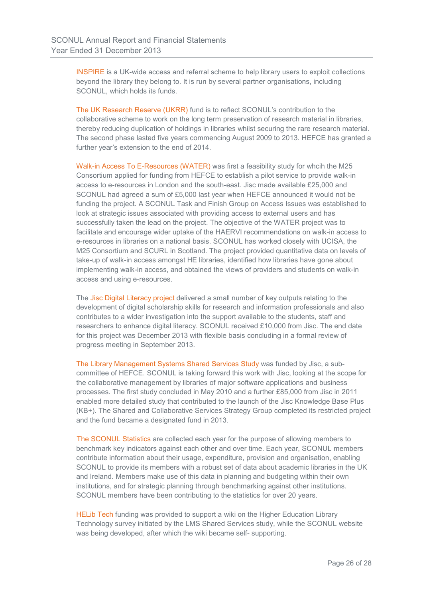INSPIRE is a UK-wide access and referral scheme to help library users to exploit collections beyond the library they belong to. It is run by several partner organisations, including SCONUL, which holds its funds.

The UK Research Reserve (UKRR) fund is to reflect SCONUL's contribution to the collaborative scheme to work on the long term preservation of research material in libraries, thereby reducing duplication of holdings in libraries whilst securing the rare research material. The second phase lasted five years commencing August 2009 to 2013. HEFCE has granted a further year's extension to the end of 2014.

Walk-in Access To E-Resources (WATER) was first a feasibility study for whcih the M25 Consortium applied for funding from HEFCE to establish a pilot service to provide walk-in access to e-resources in London and the south-east. Jisc made available £25,000 and SCONUL had agreed a sum of £5,000 last year when HEFCE announced it would not be funding the project. A SCONUL Task and Finish Group on Access Issues was established to look at strategic issues associated with providing access to external users and has successfully taken the lead on the project. The objective of the WATER project was to facilitate and encourage wider uptake of the HAERVI recommendations on walk-in access to e-resources in libraries on a national basis. SCONUL has worked closely with UCISA, the M25 Consortium and SCURL in Scotland. The project provided quantitative data on levels of take-up of walk-in access amongst HE libraries, identified how libraries have gone about implementing walk-in access, and obtained the views of providers and students on walk-in access and using e-resources.

The Jisc Digital Literacy project delivered a small number of key outputs relating to the development of digital scholarship skills for research and information professionals and also contributes to a wider investigation into the support available to the students, staff and researchers to enhance digital literacy. SCONUL received £10,000 from Jisc. The end date for this project was December 2013 with flexible basis concluding in a formal review of progress meeting in September 2013.

The Library Management Systems Shared Services Study was funded by Jisc, a subcommittee of HEFCE. SCONUL is taking forward this work with Jisc, looking at the scope for the collaborative management by libraries of major software applications and business processes. The first study concluded in May 2010 and a further £85,000 from Jisc in 2011 enabled more detailed study that contributed to the launch of the Jisc Knowledge Base Plus (KB+). The Shared and Collaborative Services Strategy Group completed its restricted project and the fund became a designated fund in 2013.

The SCONUL Statistics are collected each year for the purpose of allowing members to benchmark key indicators against each other and over time. Each year, SCONUL members contribute information about their usage, expenditure, provision and organisation, enabling SCONUL to provide its members with a robust set of data about academic libraries in the UK and Ireland. Members make use of this data in planning and budgeting within their own institutions, and for strategic planning through benchmarking against other institutions. SCONUL members have been contributing to the statistics for over 20 years.

HELib Tech funding was provided to support a wiki on the Higher Education Library Technology survey initiated by the LMS Shared Services study, while the SCONUL website was being developed, after which the wiki became self- supporting.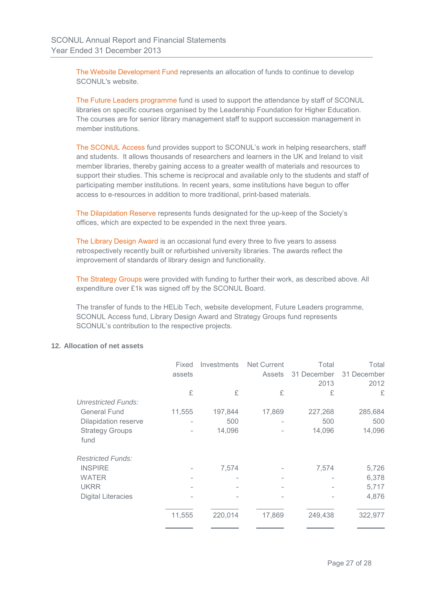The Website Development Fund represents an allocation of funds to continue to develop SCONUL's website.

The Future Leaders programme fund is used to support the attendance by staff of SCONUL libraries on specific courses organised by the Leadership Foundation for Higher Education. The courses are for senior library management staff to support succession management in member institutions.

The SCONUL Access fund provides support to SCONUL's work in helping researchers, staff and students. It allows thousands of researchers and learners in the UK and Ireland to visit member libraries, thereby gaining access to a greater wealth of materials and resources to support their studies. This scheme is reciprocal and available only to the students and staff of participating member institutions. In recent years, some institutions have begun to offer access to e-resources in addition to more traditional, print-based materials.

The Dilapidation Reserve represents funds designated for the up-keep of the Society's offices, which are expected to be expended in the next three years.

The Library Design Award is an occasional fund every three to five years to assess retrospectively recently built or refurbished university libraries. The awards reflect the improvement of standards of library design and functionality.

The Strategy Groups were provided with funding to further their work, as described above. All expenditure over £1k was signed off by the SCONUL Board.

The transfer of funds to the HELib Tech, website development, Future Leaders programme, SCONUL Access fund, Library Design Award and Strategy Groups fund represents SCONUL's contribution to the respective projects.

#### **12. Allocation of net assets**

|                                | Fixed  | <b>Investments</b> | <b>Net Current</b> | Total       | Total       |
|--------------------------------|--------|--------------------|--------------------|-------------|-------------|
|                                | assets |                    | <b>Assets</b>      | 31 December | 31 December |
|                                |        |                    |                    | 2013        | 2012        |
|                                | £      | £                  | £                  | £           | £           |
| <b>Unrestricted Funds:</b>     |        |                    |                    |             |             |
| <b>General Fund</b>            | 11,555 | 197,844            | 17,869             | 227,268     | 285,684     |
| <b>Dilapidation reserve</b>    |        | 500                |                    | 500         | 500         |
| <b>Strategy Groups</b><br>fund |        | 14,096             |                    | 14,096      | 14,096      |
| <b>Restricted Funds:</b>       |        |                    |                    |             |             |
| <b>INSPIRE</b>                 |        | 7,574              |                    | 7,574       | 5,726       |
| <b>WATER</b>                   |        |                    |                    |             | 6,378       |
| <b>UKRR</b>                    |        |                    |                    |             | 5,717       |
| <b>Digital Literacies</b>      |        |                    |                    |             | 4,876       |
|                                | 11,555 | 220,014            | 17,869             | 249,438     | 322,977     |